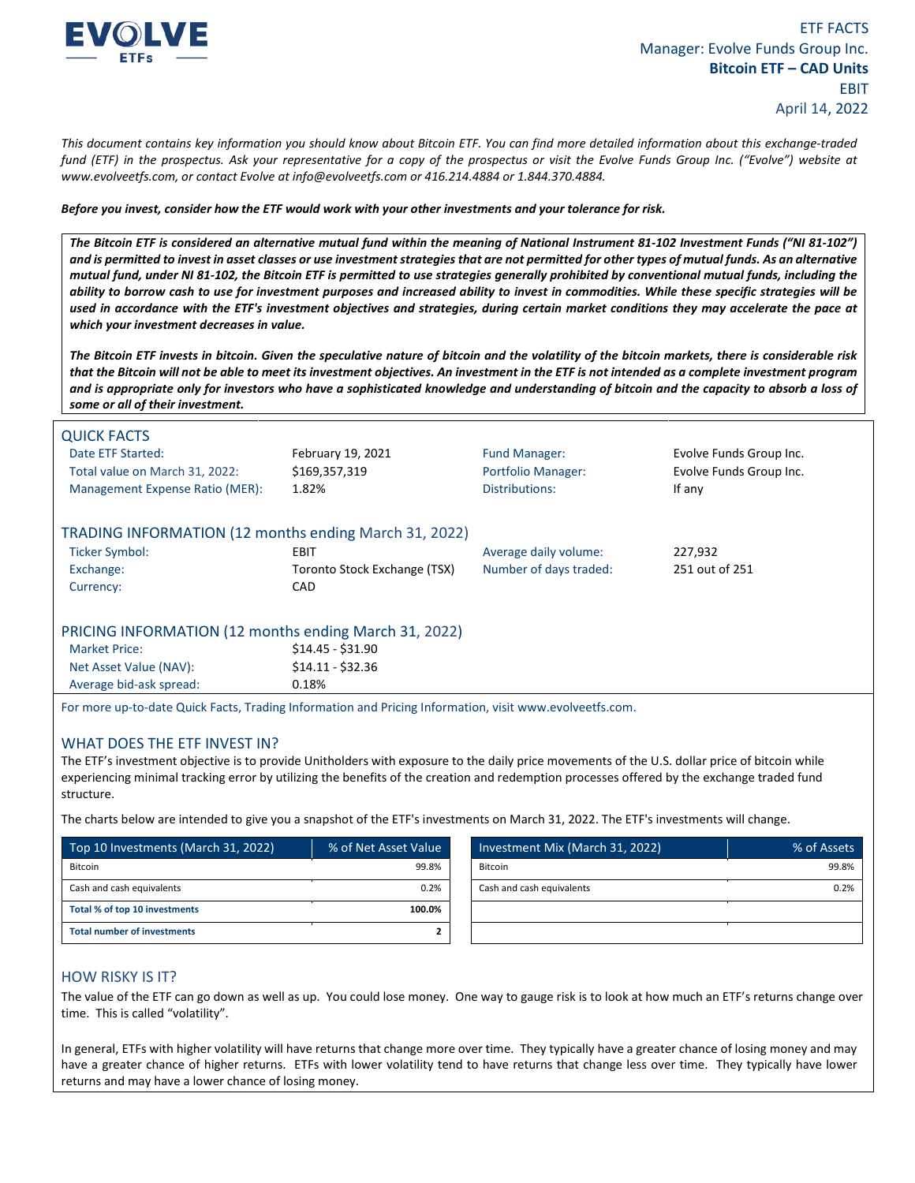

*This document contains key information you should know about Bitcoin ETF. You can find more detailed information about this exchange-traded fund (ETF) in the prospectus. Ask your representative for a copy of the prospectus or visit the Evolve Funds Group Inc. ("Evolve") website at www.evolveetfs.com, or contact Evolve at info@evolveetfs.com or 416.214.4884 or 1.844.370.4884.* 

*Before you invest, consider how the ETF would work with your other investments and your tolerance for risk.* 

*The Bitcoin ETF is considered an alternative mutual fund within the meaning of National Instrument 81-102 Investment Funds ("NI 81-102") and is permitted to invest in asset classes or use investment strategies that are not permitted for other types of mutual funds. As an alternative mutual fund, under NI 81-102, the Bitcoin ETF is permitted to use strategies generally prohibited by conventional mutual funds, including the ability to borrow cash to use for investment purposes and increased ability to invest in commodities. While these specific strategies will be used in accordance with the ETF's investment objectives and strategies, during certain market conditions they may accelerate the pace at which your investment decreases in value.* 

*The Bitcoin ETF invests in bitcoin. Given the speculative nature of bitcoin and the volatility of the bitcoin markets, there is considerable risk that the Bitcoin will not be able to meet its investment objectives. An investment in the ETF is not intended as a complete investment program and is appropriate only for investors who have a sophisticated knowledge and understanding of bitcoin and the capacity to absorb a loss of some or all of their investment.* 

| <b>QUICK FACTS</b>                                                                                     |                              |                           |                         |  |
|--------------------------------------------------------------------------------------------------------|------------------------------|---------------------------|-------------------------|--|
| Date ETF Started:                                                                                      | February 19, 2021            | <b>Fund Manager:</b>      | Evolve Funds Group Inc. |  |
| Total value on March 31, 2022:                                                                         | \$169,357,319                | <b>Portfolio Manager:</b> | Evolve Funds Group Inc. |  |
| Management Expense Ratio (MER):                                                                        | 1.82%                        | Distributions:            | If any                  |  |
| TRADING INFORMATION (12 months ending March 31, 2022)                                                  |                              |                           |                         |  |
| <b>Ticker Symbol:</b>                                                                                  | EBIT                         | Average daily volume:     | 227,932                 |  |
| Exchange:                                                                                              | Toronto Stock Exchange (TSX) | Number of days traded:    | 251 out of 251          |  |
| Currency:                                                                                              | <b>CAD</b>                   |                           |                         |  |
| PRICING INFORMATION (12 months ending March 31, 2022)                                                  |                              |                           |                         |  |
| <b>Market Price:</b>                                                                                   | $$14.45 - $31.90$            |                           |                         |  |
| Net Asset Value (NAV):                                                                                 | $$14.11 - $32.36$            |                           |                         |  |
| Average bid-ask spread:                                                                                | 0.18%                        |                           |                         |  |
| For mare un to date Quick Facts, Trading Information and Prising Information, visit www.evolvoetfs.com |                              |                           |                         |  |

ng Information and Pricing Information, visit www.evolveetfs.com.

## WHAT DOES THE ETF INVEST IN?

The ETF's investment objective is to provide Unitholders with exposure to the daily price movements of the U.S. dollar price of bitcoin while experiencing minimal tracking error by utilizing the benefits of the creation and redemption processes offered by the exchange traded fund structure.

The charts below are intended to give you a snapshot of the ETF's investments on March 31, 2022. The ETF's investments will change.

| 99.8%<br>Bitcoin                  | 99.8% |
|-----------------------------------|-------|
|                                   |       |
| 0.2%<br>Cash and cash equivalents | 0.2%  |
| 100.0%                            |       |
|                                   |       |
|                                   |       |

## HOW RISKY IS IT?

The value of the ETF can go down as well as up. You could lose money. One way to gauge risk is to look at how much an ETF's returns change over time. This is called "volatility".

In general, ETFs with higher volatility will have returns that change more over time. They typically have a greater chance of losing money and may have a greater chance of higher returns. ETFs with lower volatility tend to have returns that change less over time. They typically have lower returns and may have a lower chance of losing money.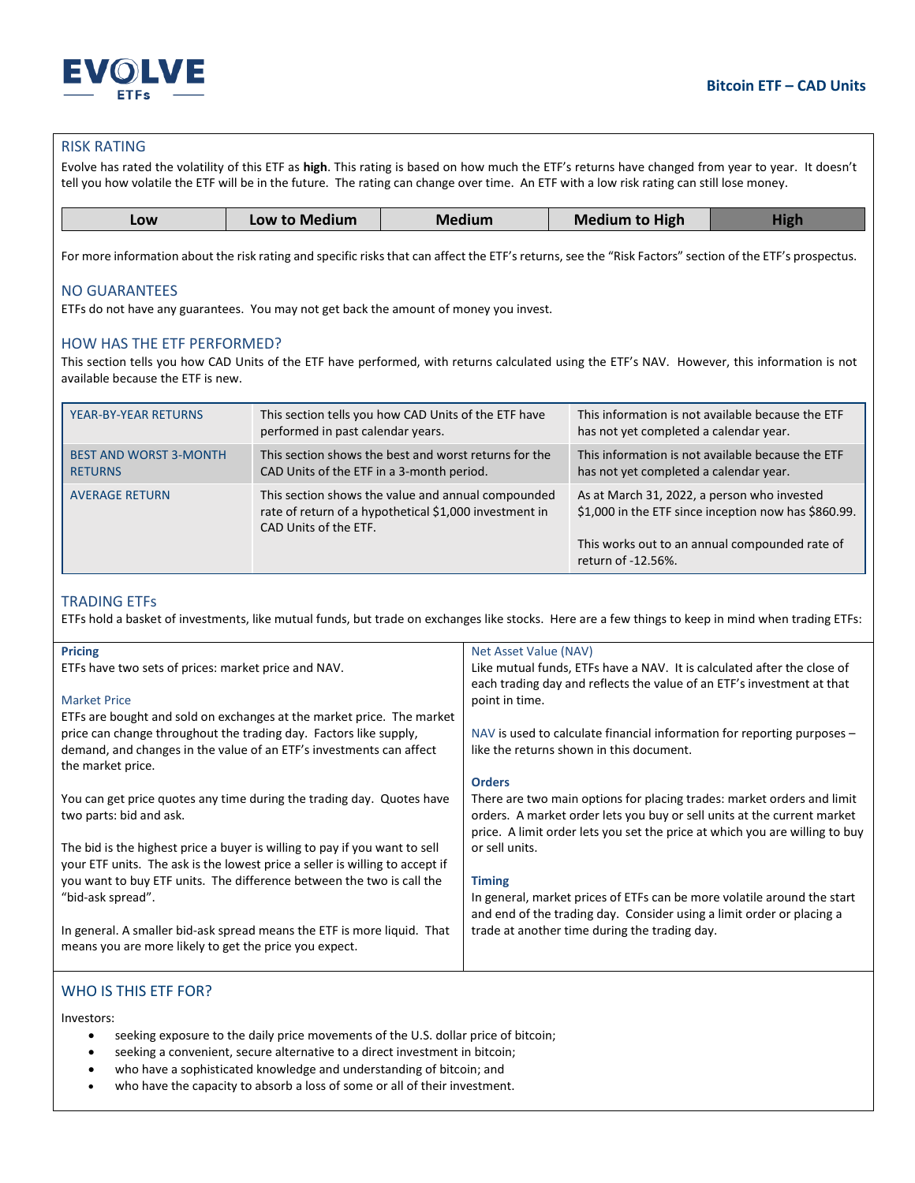

## RISK RATING

Evolve has rated the volatility of this ETF as **high**. This rating is based on how much the ETF's returns have changed from year to year. It doesn't tell you how volatile the ETF will be in the future. The rating can change over time. An ETF with a low risk rating can still lose money.

| <b>Medium to High</b><br>Low to Medium<br>Medium<br>LOW |
|---------------------------------------------------------|
|---------------------------------------------------------|

For more information about the risk rating and specific risks that can affect the ETF's returns, see the "Risk Factors" section of the ETF's prospectus.

## NO GUARANTEES

ETFs do not have any guarantees. You may not get back the amount of money you invest.

#### HOW HAS THE ETF PERFORMED?

This section tells you how CAD Units of the ETF have performed, with returns calculated using the ETF's NAV. However, this information is not available because the ETF is new.

| YEAR-BY-YEAR RETURNS                            | This section tells you how CAD Units of the ETF have<br>performed in past calendar years.                                             | This information is not available because the ETF<br>has not yet completed a calendar year.                                                                                 |
|-------------------------------------------------|---------------------------------------------------------------------------------------------------------------------------------------|-----------------------------------------------------------------------------------------------------------------------------------------------------------------------------|
| <b>BEST AND WORST 3-MONTH</b><br><b>RETURNS</b> | This section shows the best and worst returns for the<br>CAD Units of the ETF in a 3-month period.                                    | This information is not available because the ETF<br>has not yet completed a calendar year.                                                                                 |
| <b>AVERAGE RETURN</b>                           | This section shows the value and annual compounded<br>rate of return of a hypothetical \$1,000 investment in<br>CAD Units of the ETF. | As at March 31, 2022, a person who invested<br>\$1,000 in the ETF since inception now has \$860.99.<br>This works out to an annual compounded rate of<br>return of -12.56%. |

## TRADING ETFs

ETFs hold a basket of investments, like mutual funds, but trade on exchanges like stocks. Here are a few things to keep in mind when trading ETFs:

| <b>Pricing</b>                                                               | Net Asset Value (NAV)                                                       |
|------------------------------------------------------------------------------|-----------------------------------------------------------------------------|
| ETFs have two sets of prices: market price and NAV.                          | Like mutual funds, ETFs have a NAV. It is calculated after the close of     |
|                                                                              | each trading day and reflects the value of an ETF's investment at that      |
| <b>Market Price</b>                                                          | point in time.                                                              |
| ETFs are bought and sold on exchanges at the market price. The market        |                                                                             |
| price can change throughout the trading day. Factors like supply,            | NAV is used to calculate financial information for reporting purposes $-$   |
| demand, and changes in the value of an ETF's investments can affect          | like the returns shown in this document.                                    |
| the market price.                                                            |                                                                             |
|                                                                              | <b>Orders</b>                                                               |
| You can get price quotes any time during the trading day. Quotes have        | There are two main options for placing trades: market orders and limit      |
| two parts: bid and ask.                                                      | orders. A market order lets you buy or sell units at the current market     |
|                                                                              | price. A limit order lets you set the price at which you are willing to buy |
| The bid is the highest price a buyer is willing to pay if you want to sell   | or sell units.                                                              |
| your ETF units. The ask is the lowest price a seller is willing to accept if |                                                                             |
| you want to buy ETF units. The difference between the two is call the        | <b>Timing</b>                                                               |
| "bid-ask spread".                                                            | In general, market prices of ETFs can be more volatile around the start     |
|                                                                              | and end of the trading day. Consider using a limit order or placing a       |
| In general. A smaller bid-ask spread means the ETF is more liquid. That      | trade at another time during the trading day.                               |
| means you are more likely to get the price you expect.                       |                                                                             |
|                                                                              |                                                                             |

# WHO IS THIS ETF FOR?

Investors:

- seeking exposure to the daily price movements of the U.S. dollar price of bitcoin;
- seeking a convenient, secure alternative to a direct investment in bitcoin;
- who have a sophisticated knowledge and understanding of bitcoin; and
- who have the capacity to absorb a loss of some or all of their investment.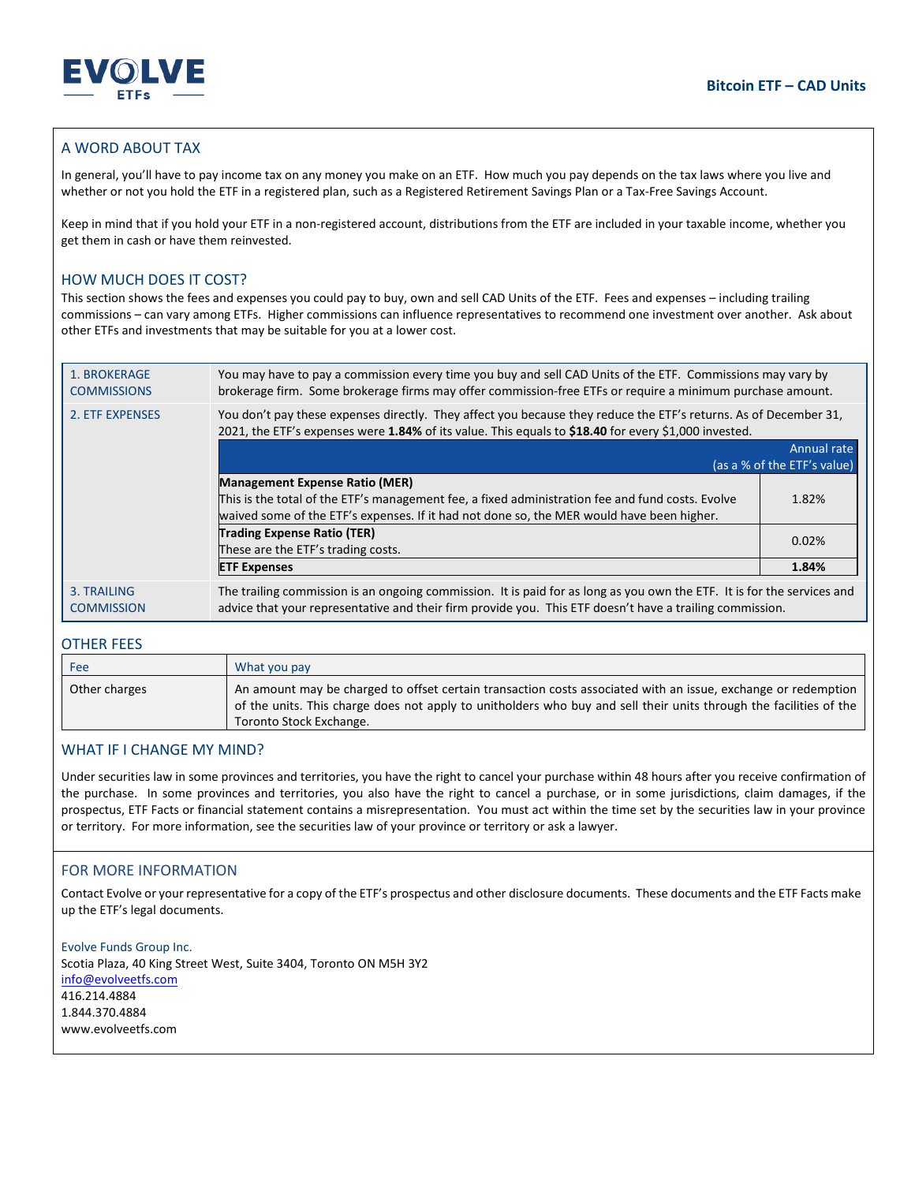



# A WORD ABOUT TAX

In general, you'll have to pay income tax on any money you make on an ETF. How much you pay depends on the tax laws where you live and whether or not you hold the ETF in a registered plan, such as a Registered Retirement Savings Plan or a Tax-Free Savings Account.

Keep in mind that if you hold your ETF in a non-registered account, distributions from the ETF are included in your taxable income, whether you get them in cash or have them reinvested.

## HOW MUCH DOES IT COST?

This section shows the fees and expenses you could pay to buy, own and sell CAD Units of the ETF. Fees and expenses – including trailing commissions – can vary among ETFs. Higher commissions can influence representatives to recommend one investment over another. Ask about other ETFs and investments that may be suitable for you at a lower cost.

| 1. BROKERAGE<br><b>COMMISSIONS</b> | You may have to pay a commission every time you buy and sell CAD Units of the ETF. Commissions may vary by<br>brokerage firm. Some brokerage firms may offer commission-free ETFs or require a minimum purchase amount.             |                             |
|------------------------------------|-------------------------------------------------------------------------------------------------------------------------------------------------------------------------------------------------------------------------------------|-----------------------------|
| 2. ETF EXPENSES                    | You don't pay these expenses directly. They affect you because they reduce the ETF's returns. As of December 31,<br>2021, the ETF's expenses were 1.84% of its value. This equals to \$18.40 for every \$1,000 invested.            |                             |
|                                    |                                                                                                                                                                                                                                     | Annual rate                 |
|                                    |                                                                                                                                                                                                                                     | (as a % of the ETF's value) |
|                                    |                                                                                                                                                                                                                                     |                             |
|                                    | <b>Management Expense Ratio (MER)</b>                                                                                                                                                                                               |                             |
|                                    | This is the total of the ETF's management fee, a fixed administration fee and fund costs. Evolve                                                                                                                                    | 1.82%                       |
|                                    | waived some of the ETF's expenses. If it had not done so, the MER would have been higher.                                                                                                                                           |                             |
|                                    | <b>Trading Expense Ratio (TER)</b>                                                                                                                                                                                                  |                             |
|                                    | These are the ETF's trading costs.                                                                                                                                                                                                  | 0.02%                       |
|                                    | <b>ETF Expenses</b>                                                                                                                                                                                                                 | 1.84%                       |
| 3. TRAILING<br><b>COMMISSION</b>   | The trailing commission is an ongoing commission. It is paid for as long as you own the ETF. It is for the services and<br>advice that your representative and their firm provide you. This ETF doesn't have a trailing commission. |                             |

## OTHER FEES

| Fee           | What you pay                                                                                                                                                                                                                                                   |
|---------------|----------------------------------------------------------------------------------------------------------------------------------------------------------------------------------------------------------------------------------------------------------------|
| Other charges | An amount may be charged to offset certain transaction costs associated with an issue, exchange or redemption<br>of the units. This charge does not apply to unitholders who buy and sell their units through the facilities of the<br>Toronto Stock Exchange. |

#### WHAT IF I CHANGE MY MIND?

Under securities law in some provinces and territories, you have the right to cancel your purchase within 48 hours after you receive confirmation of the purchase. In some provinces and territories, you also have the right to cancel a purchase, or in some jurisdictions, claim damages, if the prospectus, ETF Facts or financial statement contains a misrepresentation. You must act within the time set by the securities law in your province or territory. For more information, see the securities law of your province or territory or ask a lawyer.

## FOR MORE INFORMATION

Contact Evolve or your representative for a copy of the ETF's prospectus and other disclosure documents. These documents and the ETF Facts make up the ETF's legal documents.

Evolve Funds Group Inc. Scotia Plaza, 40 King Street West, Suite 3404, Toronto ON M5H 3Y2 info@evolveetfs.com 416.214.4884 1.844.370.4884 www.evolveetfs.com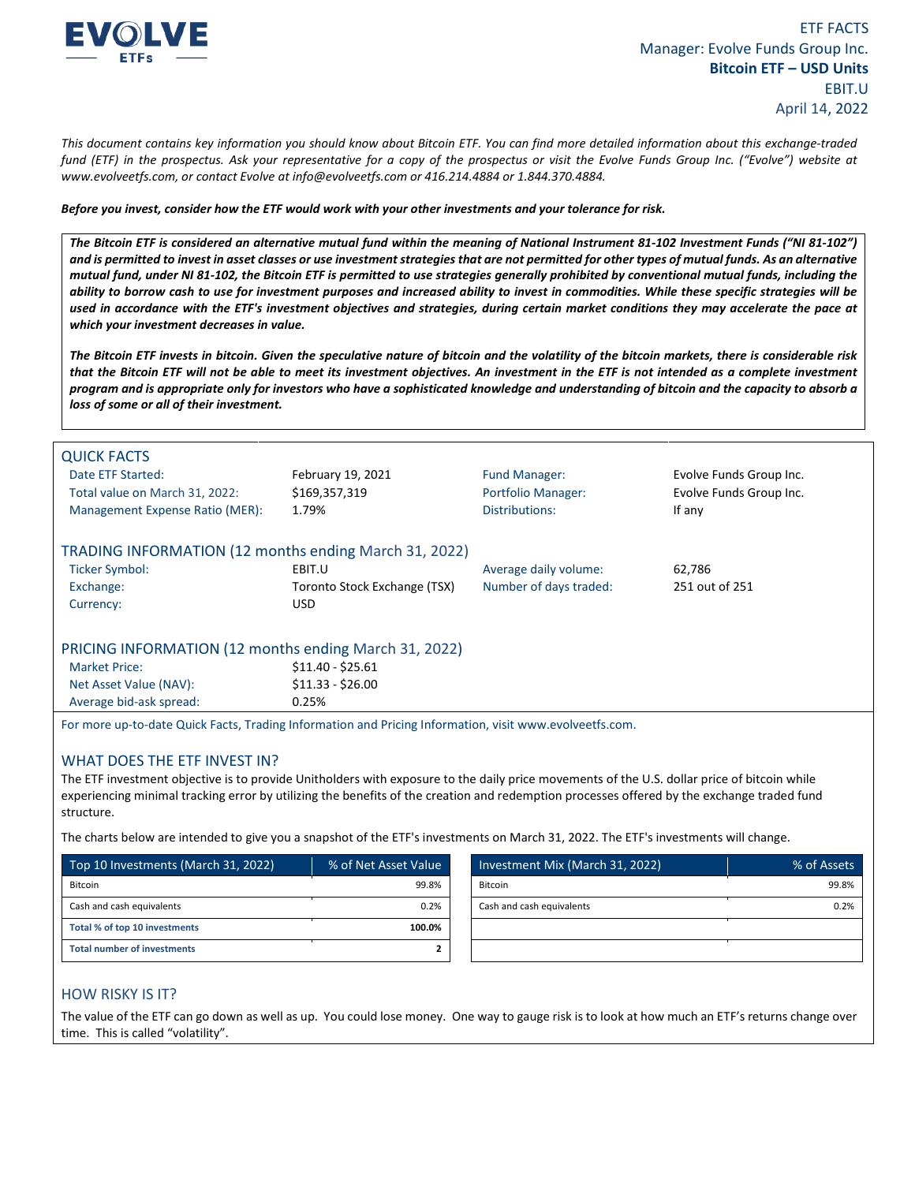

*This document contains key information you should know about Bitcoin ETF. You can find more detailed information about this exchange-traded fund (ETF) in the prospectus. Ask your representative for a copy of the prospectus or visit the Evolve Funds Group Inc. ("Evolve") website at www.evolveetfs.com, or contact Evolve at info@evolveetfs.com or 416.214.4884 or 1.844.370.4884.* 

*Before you invest, consider how the ETF would work with your other investments and your tolerance for risk.* 

*The Bitcoin ETF is considered an alternative mutual fund within the meaning of National Instrument 81-102 Investment Funds ("NI 81-102") and is permitted to invest in asset classes or use investment strategies that are not permitted for other types of mutual funds. As an alternative mutual fund, under NI 81-102, the Bitcoin ETF is permitted to use strategies generally prohibited by conventional mutual funds, including the ability to borrow cash to use for investment purposes and increased ability to invest in commodities. While these specific strategies will be used in accordance with the ETF's investment objectives and strategies, during certain market conditions they may accelerate the pace at which your investment decreases in value.* 

*The Bitcoin ETF invests in bitcoin. Given the speculative nature of bitcoin and the volatility of the bitcoin markets, there is considerable risk that the Bitcoin ETF will not be able to meet its investment objectives. An investment in the ETF is not intended as a complete investment program and is appropriate only for investors who have a sophisticated knowledge and understanding of bitcoin and the capacity to absorb a loss of some or all of their investment.* 

| <b>QUICK FACTS</b><br>Date ETF Started:<br>Total value on March 31, 2022:<br>Management Expense Ratio (MER): | February 19, 2021<br>\$169,357,319<br>1.79% | <b>Fund Manager:</b><br><b>Portfolio Manager:</b><br>Distributions: | Evolve Funds Group Inc.<br>Evolve Funds Group Inc.<br>If any |  |
|--------------------------------------------------------------------------------------------------------------|---------------------------------------------|---------------------------------------------------------------------|--------------------------------------------------------------|--|
| TRADING INFORMATION (12 months ending March 31, 2022)                                                        |                                             |                                                                     |                                                              |  |
| <b>Ticker Symbol:</b>                                                                                        | EBIT.U                                      | Average daily volume:                                               | 62,786                                                       |  |
| Exchange:                                                                                                    | Toronto Stock Exchange (TSX)                | Number of days traded:                                              | 251 out of 251                                               |  |
| Currency:                                                                                                    | USD.                                        |                                                                     |                                                              |  |
| PRICING INFORMATION (12 months ending March 31, 2022)                                                        |                                             |                                                                     |                                                              |  |
| <b>Market Price:</b>                                                                                         | $$11.40 - $25.61$                           |                                                                     |                                                              |  |
| Net Asset Value (NAV):                                                                                       | $$11.33 - $26.00$                           |                                                                     |                                                              |  |
| Average bid-ask spread:                                                                                      | 0.25%                                       |                                                                     |                                                              |  |
|                                                                                                              |                                             |                                                                     |                                                              |  |

For more up-to-date Quick Facts, Trading Information and Pricing Information, visit www.evolveetfs.com.

## WHAT DOES THE ETF INVEST IN?

The ETF investment objective is to provide Unitholders with exposure to the daily price movements of the U.S. dollar price of bitcoin while experiencing minimal tracking error by utilizing the benefits of the creation and redemption processes offered by the exchange traded fund structure.

The charts below are intended to give you a snapshot of the ETF's investments on March 31, 2022. The ETF's investments will change.

| Top 10 Investments (March 31, 2022) | % of Net Asset Value | Investment Mix (March 31, 2022) | % of Assets |
|-------------------------------------|----------------------|---------------------------------|-------------|
| Bitcoin                             | 99.8%                | Bitcoin                         | 99.8%       |
| Cash and cash equivalents           | 0.2%                 | Cash and cash equivalents       | 0.2%        |
| Total % of top 10 investments       | 100.0%               |                                 |             |
| <b>Total number of investments</b>  |                      |                                 |             |

## HOW RISKY IS IT?

The value of the ETF can go down as well as up. You could lose money. One way to gauge risk is to look at how much an ETF's returns change over time. This is called "volatility".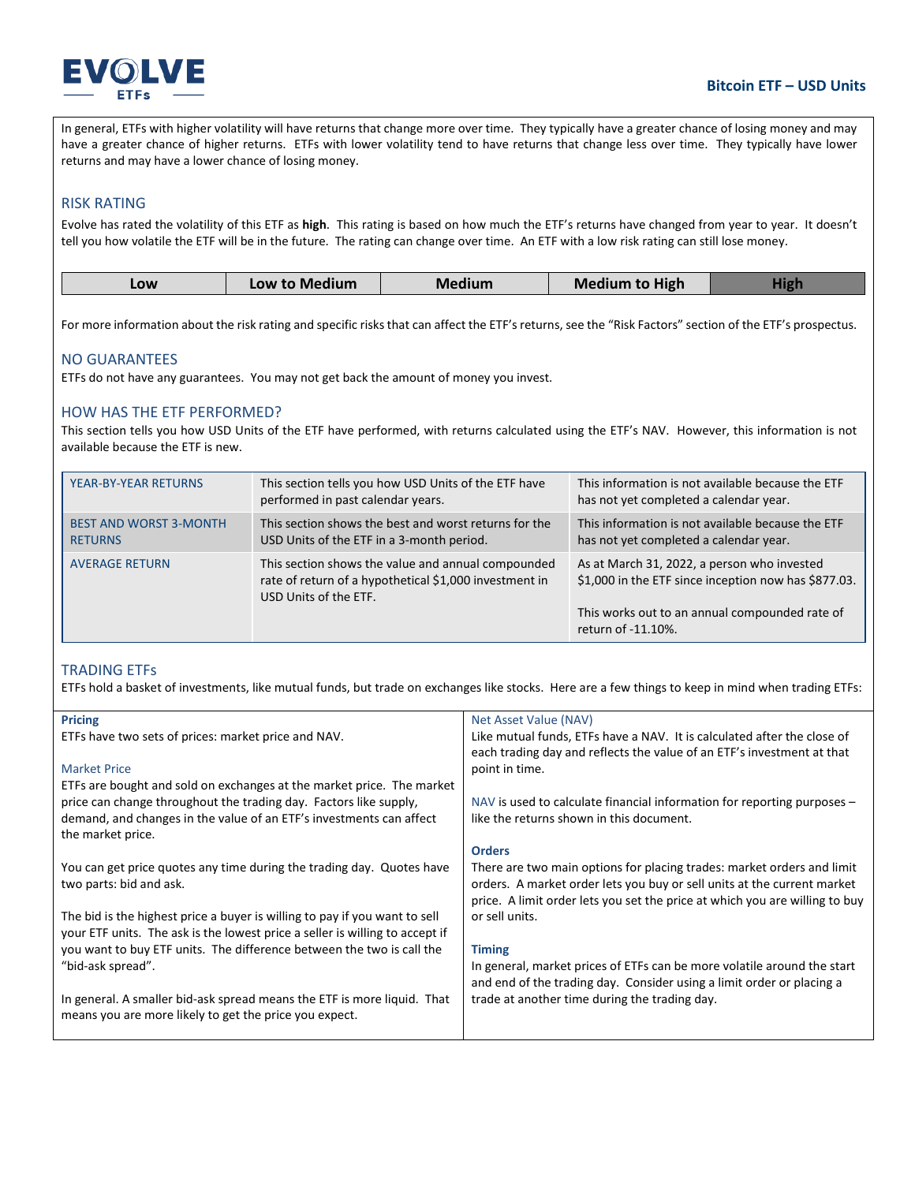

In general, ETFs with higher volatility will have returns that change more over time. They typically have a greater chance of losing money and may have a greater chance of higher returns. ETFs with lower volatility tend to have returns that change less over time. They typically have lower returns and may have a lower chance of losing money.

# RISK RATING

Evolve has rated the volatility of this ETF as **high**. This rating is based on how much the ETF's returns have changed from year to year. It doesn't tell you how volatile the ETF will be in the future. The rating can change over time. An ETF with a low risk rating can still lose money.

| LOW | Low to Medium | Medium | <b>Medium to High</b> |  |
|-----|---------------|--------|-----------------------|--|
|     |               |        |                       |  |

For more information about the risk rating and specific risks that can affect the ETF's returns, see the "Risk Factors" section of the ETF's prospectus.

## NO GUARANTEES

ETFs do not have any guarantees. You may not get back the amount of money you invest.

## HOW HAS THE ETF PERFORMED?

This section tells you how USD Units of the ETF have performed, with returns calculated using the ETF's NAV. However, this information is not available because the ETF is new.

| YEAR-BY-YEAR RETURNS                            | This section tells you how USD Units of the ETF have<br>performed in past calendar years.                                             | This information is not available because the ETF<br>has not yet completed a calendar year.                                                                                 |
|-------------------------------------------------|---------------------------------------------------------------------------------------------------------------------------------------|-----------------------------------------------------------------------------------------------------------------------------------------------------------------------------|
| <b>BEST AND WORST 3-MONTH</b><br><b>RETURNS</b> | This section shows the best and worst returns for the<br>USD Units of the ETF in a 3-month period.                                    | This information is not available because the ETF<br>has not yet completed a calendar year.                                                                                 |
| <b>AVERAGE RETURN</b>                           | This section shows the value and annual compounded<br>rate of return of a hypothetical \$1,000 investment in<br>USD Units of the ETF. | As at March 31, 2022, a person who invested<br>\$1,000 in the ETF since inception now has \$877.03.<br>This works out to an annual compounded rate of<br>return of -11.10%. |

## TRADING ETFs

ETFs hold a basket of investments, like mutual funds, but trade on exchanges like stocks. Here are a few things to keep in mind when trading ETFs:

| Net Asset Value (NAV)                                                                                                                                                                                                            |
|----------------------------------------------------------------------------------------------------------------------------------------------------------------------------------------------------------------------------------|
| Like mutual funds, ETFs have a NAV. It is calculated after the close of                                                                                                                                                          |
| each trading day and reflects the value of an ETF's investment at that                                                                                                                                                           |
| point in time.                                                                                                                                                                                                                   |
|                                                                                                                                                                                                                                  |
| NAV is used to calculate financial information for reporting purposes $-$                                                                                                                                                        |
| like the returns shown in this document.                                                                                                                                                                                         |
| <b>Orders</b>                                                                                                                                                                                                                    |
| There are two main options for placing trades: market orders and limit<br>orders. A market order lets you buy or sell units at the current market<br>price. A limit order lets you set the price at which you are willing to buy |
| or sell units.                                                                                                                                                                                                                   |
| <b>Timing</b>                                                                                                                                                                                                                    |
| In general, market prices of ETFs can be more volatile around the start                                                                                                                                                          |
| and end of the trading day. Consider using a limit order or placing a                                                                                                                                                            |
| trade at another time during the trading day.                                                                                                                                                                                    |
|                                                                                                                                                                                                                                  |